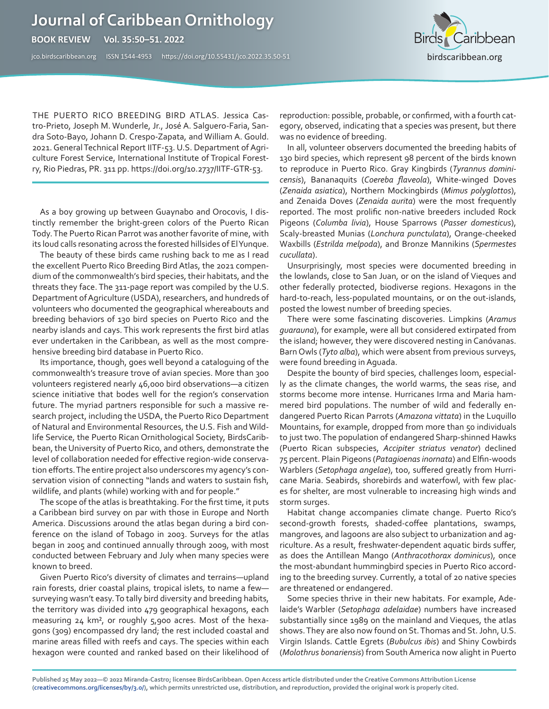## **Journal of Caribbean Ornithology**

**BOOK REVIEW Vol. 35:50–51. 2022** 

jco.birdscaribbean.org ISSN 1544-4953 https:/[/doi.org/10.55431/jco.2022.35.50-](http://)51



THE PUERTO RICO BREEDING BIRD ATLAS. Jessica Castro-Prieto, Joseph M. Wunderle, Jr., José A. Salguero-Faria, Sandra Soto-Bayo, Johann D. Crespo-Zapata, and William A. Gould. 2021. General Technical Report IITF-53. U.S. Department of Agriculture Forest Service, International Institute of Tropical Forestry, Rio Piedras, PR. 311 pp. https://doi.org/10.2737/IITF-GTR-53.

As a boy growing up between Guaynabo and Orocovis, I distinctly remember the bright-green colors of the Puerto Rican Tody. The Puerto Rican Parrot was another favorite of mine, with its loud calls resonating across the forested hillsides of El Yunque.

The beauty of these birds came rushing back to me as I read the excellent Puerto Rico Breeding Bird Atlas, the 2021 compendium of the commonwealth's bird species, their habitats, and the threats they face. The 311-page report was compiled by the U.S. Department of Agriculture (USDA), researchers, and hundreds of volunteers who documented the geographical whereabouts and breeding behaviors of 130 bird species on Puerto Rico and the nearby islands and cays. This work represents the first bird atlas ever undertaken in the Caribbean, as well as the most comprehensive breeding bird database in Puerto Rico.

Its importance, though, goes well beyond a cataloguing of the commonwealth's treasure trove of avian species. More than 300 volunteers registered nearly 46,000 bird observations—a citizen science initiative that bodes well for the region's conservation future. The myriad partners responsible for such a massive research project, including the USDA, the Puerto Rico Department of Natural and Environmental Resources, the U.S. Fish and Wildlife Service, the Puerto Rican Ornithological Society, BirdsCaribbean, the University of Puerto Rico, and others, demonstrate the level of collaboration needed for effective region-wide conservation efforts. The entire project also underscores my agency's conservation vision of connecting "lands and waters to sustain fish, wildlife, and plants (while) working with and for people."

The scope of the atlas is breathtaking. For the first time, it puts a Caribbean bird survey on par with those in Europe and North America. Discussions around the atlas began during a bird conference on the island of Tobago in 2003. Surveys for the atlas began in 2005 and continued annually through 2009, with most conducted between February and July when many species were known to breed.

Given Puerto Rico's diversity of climates and terrains—upland rain forests, drier coastal plains, tropical islets, to name a few surveying wasn't easy. To tally bird diversity and breeding habits, the territory was divided into 479 geographical hexagons, each measuring 24 km², or roughly 5,900 acres. Most of the hexagons (309) encompassed dry land; the rest included coastal and marine areas filled with reefs and cays. The species within each hexagon were counted and ranked based on their likelihood of reproduction: possible, probable, or confirmed, with a fourth category, observed, indicating that a species was present, but there was no evidence of breeding.

In all, volunteer observers documented the breeding habits of 130 bird species, which represent 98 percent of the birds known to reproduce in Puerto Rico. Gray Kingbirds (*Tyrannus dominicensis*), Bananaquits (*Coereba flaveola*), White-winged Doves (*Zenaida asiatica*), Northern Mockingbirds (*Mimus polyglottos*), and Zenaida Doves (*Zenaida aurita*) were the most frequently reported. The most prolific non-native breeders included Rock Pigeons (*Columba livia*), House Sparrows (*Passer domesticus*), Scaly-breasted Munias (*Lonchura punctulata*), Orange-cheeked Waxbills (*Estrilda melpoda*), and Bronze Mannikins (*Spermestes cucullata*).

Unsurprisingly, most species were documented breeding in the lowlands, close to San Juan, or on the island of Vieques and other federally protected, biodiverse regions. Hexagons in the hard-to-reach, less-populated mountains, or on the out-islands, posted the lowest number of breeding species.

There were some fascinating discoveries. Limpkins (*Aramus guarauna*), for example, were all but considered extirpated from the island; however, they were discovered nesting in Canóvanas. Barn Owls (*Tyto alba*), which were absent from previous surveys, were found breeding in Aguada.

Despite the bounty of bird species, challenges loom, especially as the climate changes, the world warms, the seas rise, and storms become more intense. Hurricanes Irma and Maria hammered bird populations. The number of wild and federally endangered Puerto Rican Parrots (*Amazona vittata*) in the Luquillo Mountains, for example, dropped from more than 50 individuals to just two. The population of endangered Sharp-shinned Hawks (Puerto Rican subspecies, *Accipiter striatus venator*) declined 75 percent. Plain Pigeons (*Patagioenas inornata*) and Elfin-woods Warblers (*Setophaga angelae*), too, suffered greatly from Hurricane Maria. Seabirds, shorebirds and waterfowl, with few places for shelter, are most vulnerable to increasing high winds and storm surges.

Habitat change accompanies climate change. Puerto Rico's second-growth forests, shaded-coffee plantations, swamps, mangroves, and lagoons are also subject to urbanization and agriculture. As a result, freshwater-dependent aquatic birds suffer, as does the Antillean Mango (*Anthracothorax dominicus*), once the most-abundant hummingbird species in Puerto Rico according to the breeding survey. Currently, a total of 20 native species are threatened or endangered.

Some species thrive in their new habitats. For example, Adelaide's Warbler (*Setophaga adelaidae*) numbers have increased substantially since 1989 on the mainland and Vieques, the atlas shows. They are also now found on St. Thomas and St. John, U.S. Virgin Islands. Cattle Egrets (*Bubulcus ibis*) and Shiny Cowbirds (*Molothrus bonariensis*) from South America now alight in Puerto